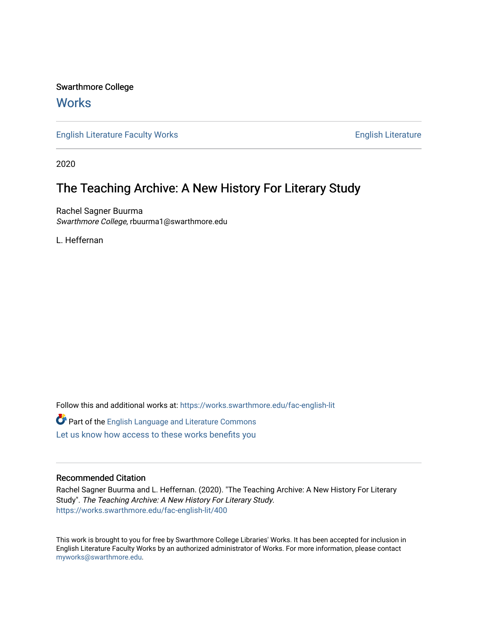# Swarthmore College

# **Works**

[English Literature Faculty Works](https://works.swarthmore.edu/fac-english-lit) **English Literature** English Literature

2020

# The Teaching Archive: A New History For Literary Study

Rachel Sagner Buurma Swarthmore College, rbuurma1@swarthmore.edu

L. Heffernan

Follow this and additional works at: [https://works.swarthmore.edu/fac-english-lit](https://works.swarthmore.edu/fac-english-lit?utm_source=works.swarthmore.edu%2Ffac-english-lit%2F400&utm_medium=PDF&utm_campaign=PDFCoverPages)

Part of the [English Language and Literature Commons](http://network.bepress.com/hgg/discipline/455?utm_source=works.swarthmore.edu%2Ffac-english-lit%2F400&utm_medium=PDF&utm_campaign=PDFCoverPages)

[Let us know how access to these works benefits you](https://forms.gle/4MB8mE2GywC5965J8) 

## Recommended Citation

Rachel Sagner Buurma and L. Heffernan. (2020). "The Teaching Archive: A New History For Literary Study". The Teaching Archive: A New History For Literary Study. <https://works.swarthmore.edu/fac-english-lit/400>

This work is brought to you for free by Swarthmore College Libraries' Works. It has been accepted for inclusion in English Literature Faculty Works by an authorized administrator of Works. For more information, please contact [myworks@swarthmore.edu.](mailto:myworks@swarthmore.edu)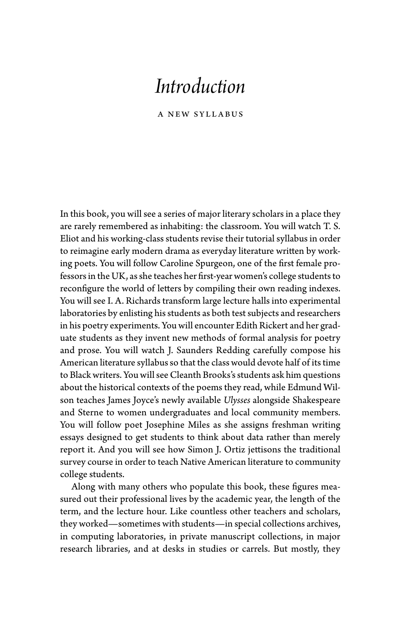# *Introduction*

A New Syllabus

In this book, you will see a series of major literary scholars in a place they are rarely remembered as inhabiting: the classroom. You will watch T. S. Eliot and his working- class students revise their tutorial syllabus in order to reimagine early modern drama as everyday literature written by working poets. You will follow Caroline Spurgeon, one of the first female professors in the UK, as she teaches her first- year women's college students to reconfigure the world of letters by compiling their own reading indexes. You will see I. A. Richards transform large lecture halls into experimental laboratories by enlisting his students as both test subjects and researchers in his poetry experiments. You will encounter Edith Rickert and her graduate students as they invent new methods of formal analysis for poetry and prose. You will watch J. Saunders Redding carefully compose his American literature syllabus so that the class would devote half of its time to Black writers. You will see Cleanth Brooks's students ask him questions about the historical contexts of the poems they read, while Edmund Wilson teaches James Joyce's newly available *Ulysses* alongside Shakespeare and Sterne to women undergraduates and local community members. You will follow poet Josephine Miles as she assigns freshman writing essays designed to get students to think about data rather than merely report it. And you will see how Simon J. Ortiz jettisons the traditional survey course in order to teach Native American literature to community college students.

Along with many others who populate this book, these figures measured out their professional lives by the academic year, the length of the term, and the lecture hour. Like countless other teachers and scholars, they worked — sometimes with students— in special collections archives, in computing laboratories, in private manuscript collections, in major research libraries, and at desks in studies or carrels. But mostly, they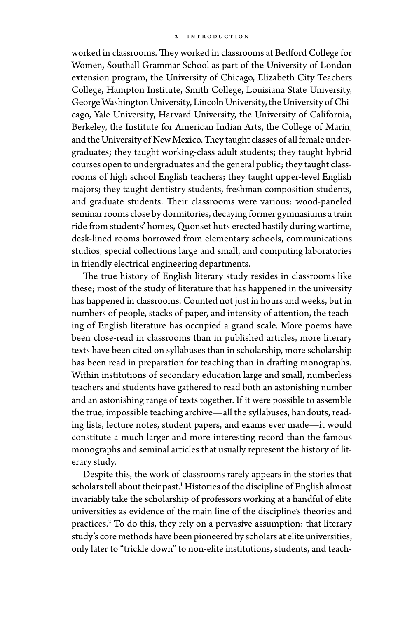worked in classrooms. They worked in classrooms at Bedford College for Women, Southall Grammar School as part of the University of London extension program, the University of Chicago, Elizabeth City Teachers College, Hampton Institute, Smith College, Louisiana State University, George Washington University, Lincoln University, the University of Chicago, Yale University, Harvard University, the University of California, Berkeley, the Institute for American Indian Arts, the College of Marin, and the University of New Mexico. They taught classes of all female undergraduates; they taught working- class adult students; they taught hybrid courses open to undergraduates and the general public; they taught classrooms of high school English teachers; they taught upper- level English majors; they taught dentistry students, freshman composition students, and graduate students. Their classrooms were various: wood-paneled seminar rooms close by dormitories, decaying former gymnasiums a train ride from students' homes, Quonset huts erected hastily during wartime, desk-lined rooms borrowed from elementary schools, communications studios, special collections large and small, and computing laboratories in friendly electrical engineering departments.

The true history of English literary study resides in classrooms like these; most of the study of literature that has happened in the university has happened in classrooms. Counted not just in hours and weeks, but in numbers of people, stacks of paper, and intensity of attention, the teaching of English literature has occupied a grand scale. More poems have been close- read in classrooms than in published articles, more literary texts have been cited on syllabuses than in scholarship, more scholarship has been read in preparation for teaching than in drafting monographs. Within institutions of secondary education large and small, numberless teachers and students have gathered to read both an astonishing number and an astonishing range of texts together. If it were possible to assemble the true, impossible teaching archive— all the syllabuses, handouts, reading lists, lecture notes, student papers, and exams ever made— it would constitute a much larger and more interesting record than the famous monographs and seminal articles that usually represent the history of literary study.

Despite this, the work of classrooms rarely appears in the stories that scholars tell about their past.<sup>1</sup> Histories of the discipline of English almost invariably take the scholarship of professors working at a handful of elite universities as evidence of the main line of the discipline's theories and practices.2 To do this, they rely on a pervasive assumption: that literary study's core methods have been pioneered by scholars at elite universities, only later to "trickle down" to non-elite institutions, students, and teach-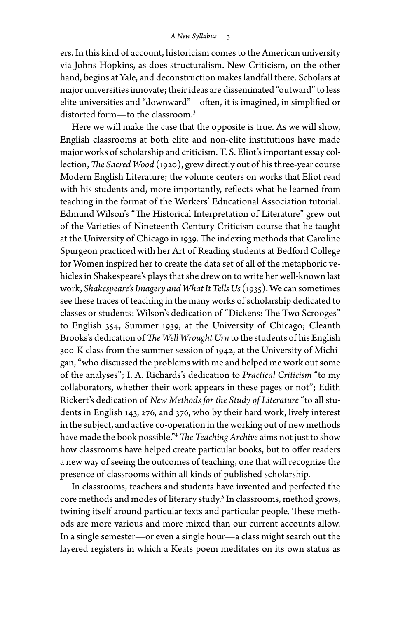ers. In this kind of account, historicism comes to the American university via Johns Hopkins, as does structuralism. New Criticism, on the other hand, begins at Yale, and deconstruction makes landfall there. Scholars at major universities innovate; their ideas are disseminated "outward" to less elite universities and "downward"— often, it is imagined, in simplified or distorted form-to the classroom.<sup>3</sup>

Here we will make the case that the opposite is true. As we will show, English classrooms at both elite and non- elite institutions have made major works of scholarship and criticism. T. S. Eliot's important essay collection, *The Sacred Wood* (1920), grew directly out of his three-year course Modern English Literature; the volume centers on works that Eliot read with his students and, more importantly, reflects what he learned from teaching in the format of the Workers' Educational Association tutorial. Edmund Wilson's "The Historical Interpretation of Literature" grew out of the Varieties of Nineteenth- Century Criticism course that he taught at the University of Chicago in 1939. The indexing methods that Caroline Spurgeon practiced with her Art of Reading students at Bedford College for Women inspired her to create the data set of all of the metaphoric ve hicles in Shakespeare's plays that she drew on to write her well- known last work, *Shakespeare's Imagery and What It Tells Us* (1935). We can sometimes see these traces of teaching in the many works of scholarship dedicated to classes or students: Wilson's dedication of "Dickens: The Two Scrooges" to English 354, Summer 1939, at the University of Chicago; Cleanth Brooks's dedication of *The Well Wrought Urn* to the students of his English 300- K class from the summer session of 1942, at the University of Michigan, "who discussed the problems with me and helped me work out some of the analyses"; I. A. Richards's dedication to *Practical Criticism* "to my collaborators, whether their work appears in these pages or not"; Edith Rickert's dedication of *New Methods for the Study of Literature* "to all students in English 143, 276, and 376, who by their hard work, lively interest in the subject, and active co- operation in the working out of new methods have made the book possible."4 *The Teaching Archive* aims not just to show how classrooms have helped create particular books, but to offer readers a new way of seeing the outcomes of teaching, one that will recognize the presence of classrooms within all kinds of published scholarship.

In classrooms, teachers and students have invented and perfected the core methods and modes of literary study.<sup>5</sup> In classrooms, method grows, twining itself around particular texts and particular people. These methods are more various and more mixed than our current accounts allow. In a single semester— or even a single hour— a class might search out the layered registers in which a Keats poem meditates on its own status as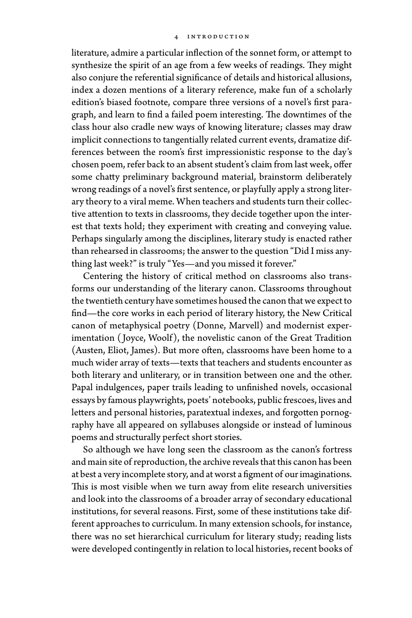literature, admire a particular inflection of the sonnet form, or attempt to synthesize the spirit of an age from a few weeks of readings. They might also conjure the referential significance of details and historical allusions, index a dozen mentions of a literary reference, make fun of a scholarly edition's biased footnote, compare three versions of a novel's first paragraph, and learn to find a failed poem interesting. The downtimes of the class hour also cradle new ways of knowing literature; classes may draw implicit connections to tangentially related current events, dramatize differences between the room's first impressionistic response to the day's chosen poem, refer back to an absent student's claim from last week, offer some chatty preliminary background material, brainstorm deliberately wrong readings of a novel's first sentence, or playfully apply a strong literary theory to a viral meme. When teachers and students turn their collective attention to texts in classrooms, they decide together upon the interest that texts hold; they experiment with creating and conveying value. Perhaps singularly among the disciplines, literary study is enacted rather than rehearsed in classrooms; the answer to the question "Did I miss anything last week?" is truly "Yes— and you missed it forever."

Centering the history of critical method on classrooms also transforms our understanding of the literary canon. Classrooms throughout the twentieth century have sometimes housed the canon that we expect to find— the core works in each period of literary history, the New Critical canon of metaphysical poetry (Donne, Marvell) and modernist experimentation ( Joyce, Woolf), the novelistic canon of the Great Tradition (Austen, Eliot, James). But more often, classrooms have been home to a much wider array of texts— texts that teachers and students encounter as both literary and unliterary, or in transition between one and the other. Papal indulgences, paper trails leading to unfinished novels, occasional essays by famous playwrights, poets' notebooks, public frescoes, lives and letters and personal histories, paratextual indexes, and forgotten pornography have all appeared on syllabuses alongside or instead of luminous poems and structurally perfect short stories.

So although we have long seen the classroom as the canon's fortress and main site of reproduction, the archive reveals that this canon has been at best a very incomplete story, and at worst a figment of our imaginations. This is most visible when we turn away from elite research universities and look into the classrooms of a broader array of secondary educational institutions, for several reasons. First, some of these institutions take different approaches to curriculum. In many extension schools, for instance, there was no set hierarchical curriculum for literary study; reading lists were developed contingently in relation to local histories, recent books of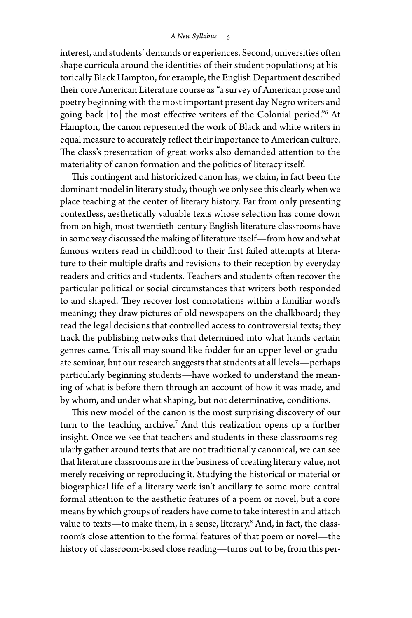interest, and students' demands or experiences. Second, universities often shape curricula around the identities of their student populations; at historically Black Hampton, for example, the English Department described their core American Literature course as "a survey of American prose and poetry beginning with the most important present day Negro writers and going back [to] the most effective writers of the Colonial period."6 At Hampton, the canon represented the work of Black and white writers in equal measure to accurately reflect their importance to American culture. The class's presentation of great works also demanded attention to the materiality of canon formation and the politics of literacy itself.

This contingent and historicized canon has, we claim, in fact been the dominant model in literary study, though we only see this clearly when we place teaching at the center of literary history. Far from only presenting contextless, aesthetically valuable texts whose selection has come down from on high, most twentieth- century English literature classrooms have in some way discussed the making of literature itself— from how and what famous writers read in childhood to their first failed attempts at literature to their multiple drafts and revisions to their reception by everyday readers and critics and students. Teachers and students often recover the particular political or social circumstances that writers both responded to and shaped. They recover lost connotations within a familiar word's meaning; they draw pictures of old newspapers on the chalkboard; they read the legal decisions that controlled access to controversial texts; they track the publishing networks that determined into what hands certain genres came. This all may sound like fodder for an upper- level or graduate seminar, but our research suggests that students at all levels— perhaps particularly beginning students— have worked to understand the meaning of what is before them through an account of how it was made, and by whom, and under what shaping, but not determinative, conditions.

This new model of the canon is the most surprising discovery of our turn to the teaching archive.<sup>7</sup> And this realization opens up a further insight. Once we see that teachers and students in these classrooms regularly gather around texts that are not traditionally canonical, we can see that literature classrooms are in the business of creating literary value, not merely receiving or reproducing it. Studying the historical or material or biographical life of a literary work isn't ancillary to some more central formal attention to the aesthetic features of a poem or novel, but a core means by which groups of readers have come to take interest in and attach value to texts—to make them, in a sense, literary.<sup>8</sup> And, in fact, the classroom's close attention to the formal features of that poem or novel— the history of classroom-based close reading—turns out to be, from this per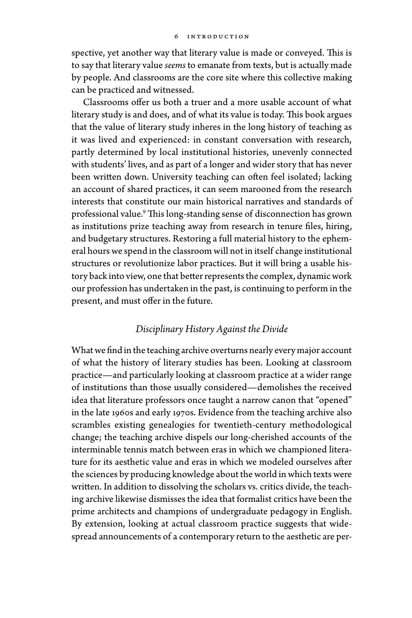spective, yet another way that literary value is made or conveyed. This is to say that literary value *seems* to emanate from texts, but is actually made by people. And classrooms are the core site where this collective making can be practiced and witnessed.

Classrooms offer us both a truer and a more usable account of what literary study is and does, and of what its value is today. This book argues that the value of literary study inheres in the long history of teaching as it was lived and experienced: in constant conversation with research, partly determined by local institutional histories, unevenly connected with students' lives, and as part of a longer and wider story that has never been written down. University teaching can often feel isolated; lacking an account of shared practices, it can seem marooned from the research interests that constitute our main historical narratives and standards of professional value.9 This long- standing sense of disconnection has grown as institutions prize teaching away from research in tenure files, hiring, and budgetary structures. Restoring a full material history to the ephemeral hours we spend in the classroom will not in itself change institutional structures or revolutionize labor practices. But it will bring a usable history back into view, one that better represents the complex, dynamic work our profession has undertaken in the past, is continuing to perform in the present, and must offer in the future.

### *Disciplinary History Against the Divide*

What we find in the teaching archive overturns nearly every major account of what the history of literary studies has been. Looking at classroom practice— and particularly looking at classroom practice at a wider range of institutions than those usually considered— demolishes the received idea that literature professors once taught a narrow canon that "opened" in the late 1960s and early 1970s. Evidence from the teaching archive also scrambles existing genealogies for twentieth- century methodological change; the teaching archive dispels our long- cherished accounts of the interminable tennis match between eras in which we championed literature for its aesthetic value and eras in which we modeled ourselves after the sciences by producing knowledge about the world in which texts were written. In addition to dissolving the scholars vs. critics divide, the teaching archive likewise dismisses the idea that formalist critics have been the prime architects and champions of undergraduate pedagogy in English. By extension, looking at actual classroom practice suggests that widespread announcements of a contemporary return to the aesthetic are per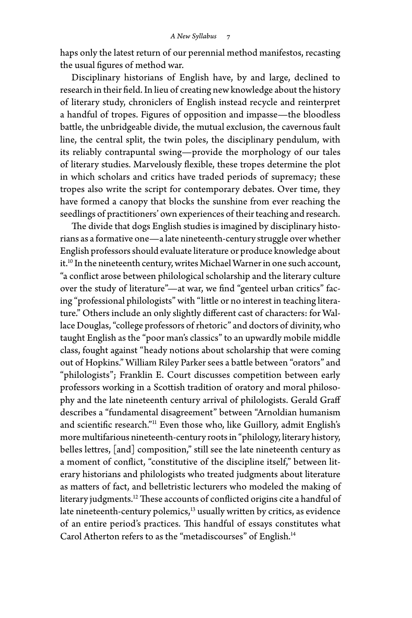haps only the latest return of our perennial method manifestos, recasting the usual figures of method war.

Disciplinary historians of English have, by and large, declined to research in their field. In lieu of creating new knowledge about the history of literary study, chroniclers of English instead recycle and reinterpret a handful of tropes. Figures of opposition and impasse— the bloodless battle, the unbridgeable divide, the mutual exclusion, the cavernous fault line, the central split, the twin poles, the disciplinary pendulum, with its reliably contrapuntal swing— provide the morphology of our tales of literary studies. Marvelously flexible, these tropes determine the plot in which scholars and critics have traded periods of supremacy; these tropes also write the script for contemporary debates. Over time, they have formed a canopy that blocks the sunshine from ever reaching the seedlings of practitioners' own experiences of their teaching and research.

The divide that dogs English studies is imagined by disciplinary historians as a formative one— a late nineteenth- century struggle over whether English professors should evaluate literature or produce knowledge about it.10 In the nineteenth century, writes Michael Warner in one such account, "a conflict arose between philological scholarship and the literary culture over the study of literature"— at war, we find "genteel urban critics" facing "professional philologists" with "little or no interest in teaching literature." Others include an only slightly different cast of characters: for Wallace Douglas, "college professors of rhetoric" and doctors of divinity, who taught English as the "poor man's classics" to an upwardly mobile middle class, fought against "heady notions about scholarship that were coming out of Hopkins." William Riley Parker sees a battle between "orators" and "philologists"; Franklin E. Court discusses competition between early professors working in a Scottish tradition of oratory and moral philosophy and the late nineteenth century arrival of philologists. Gerald Graff describes a "fundamental disagreement" between "Arnoldian humanism and scientific research."11 Even those who, like Guillory, admit English's more multifarious nineteenth- century roots in "philology, literary history, belles lettres, [and] composition," still see the late nineteenth century as a moment of conflict, "constitutive of the discipline itself," between literary historians and philologists who treated judgments about literature as matters of fact, and belletristic lecturers who modeled the making of literary judgments.<sup>12</sup> These accounts of conflicted origins cite a handful of late nineteenth-century polemics, $13$  usually written by critics, as evidence of an entire period's practices. This handful of essays constitutes what Carol Atherton refers to as the "metadiscourses" of English.<sup>14</sup>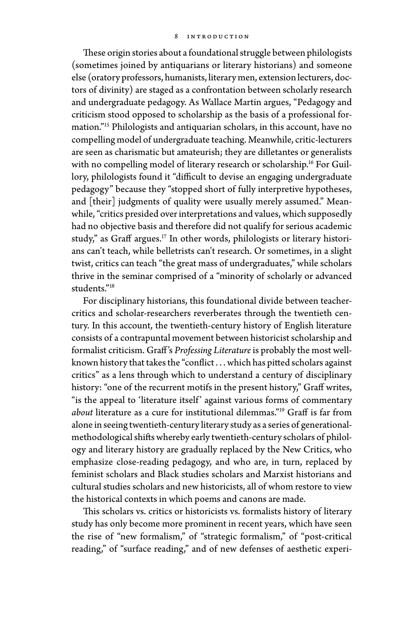These origin stories about a foundational struggle between philologists (sometimes joined by antiquarians or literary historians) and someone else (oratory professors, humanists, literary men, extension lecturers, doctors of divinity) are staged as a confrontation between scholarly research and undergraduate pedagogy. As Wallace Martin argues, "Pedagogy and criticism stood opposed to scholarship as the basis of a professional formation."15 Philologists and antiquarian scholars, in this account, have no compelling model of undergraduate teaching. Meanwhile, critic- lecturers are seen as charismatic but amateurish; they are dilletantes or generalists with no compelling model of literary research or scholarship.<sup>16</sup> For Guillory, philologists found it "difficult to devise an engaging undergraduate pedagogy" because they "stopped short of fully interpretive hypotheses, and [their] judgments of quality were usually merely assumed." Meanwhile, "critics presided over interpretations and values, which supposedly had no objective basis and therefore did not qualify for serious academic study," as Graff argues.<sup>17</sup> In other words, philologists or literary historians can't teach, while belletrists can't research. Or sometimes, in a slight twist, critics can teach "the great mass of undergraduates," while scholars thrive in the seminar comprised of a "minority of scholarly or advanced students."18

For disciplinary historians, this foundational divide between teachercritics and scholar- researchers reverberates through the twentieth century. In this account, the twentieth- century history of English literature consists of a contrapuntal movement between historicist scholarship and formalist criticism. Graff 's *Professing Literature* is probably the most wellknown history that takes the "conflict . . . which has pitted scholars against critics" as a lens through which to understand a century of disciplinary history: "one of the recurrent motifs in the present history," Graff writes, "is the appeal to 'literature itself' against various forms of commentary *about* literature as a cure for institutional dilemmas."19 Graff is far from alone in seeing twentieth- century literary study as a series of generationalmethodological shifts whereby early twentieth- century scholars of philology and literary history are gradually replaced by the New Critics, who emphasize close- reading pedagogy, and who are, in turn, replaced by feminist scholars and Black studies scholars and Marxist historians and cultural studies scholars and new historicists, all of whom restore to view the historical contexts in which poems and canons are made.

This scholars vs. critics or historicists vs. formalists history of literary study has only become more prominent in recent years, which have seen the rise of "new formalism," of "strategic formalism," of "post-critical reading," of "surface reading," and of new defenses of aesthetic experi-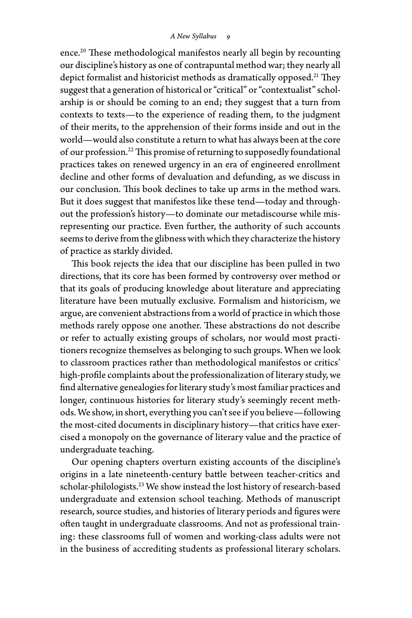ence.<sup>20</sup> These methodological manifestos nearly all begin by recounting our discipline's history as one of contrapuntal method war; they nearly all depict formalist and historicist methods as dramatically opposed.<sup>21</sup> They suggest that a generation of historical or "critical" or "contextualist" scholarship is or should be coming to an end; they suggest that a turn from contexts to texts— to the experience of reading them, to the judgment of their merits, to the apprehension of their forms inside and out in the world— would also constitute a return to what has always been at the core of our profession.22 This promise of returning to supposedly foundational practices takes on renewed urgency in an era of engineered enrollment decline and other forms of devaluation and defunding, as we discuss in our conclusion. This book declines to take up arms in the method wars. But it does suggest that manifestos like these tend— today and throughout the profession's history— to dominate our metadiscourse while misrepresenting our practice. Even further, the authority of such accounts seems to derive from the glibness with which they characterize the history of practice as starkly divided.

This book rejects the idea that our discipline has been pulled in two directions, that its core has been formed by controversy over method or that its goals of producing knowledge about literature and appreciating literature have been mutually exclusive. Formalism and historicism, we argue, are convenient abstractions from a world of practice in which those methods rarely oppose one another. These abstractions do not describe or refer to actually existing groups of scholars, nor would most practitioners recognize themselves as belonging to such groups. When we look to classroom practices rather than methodological manifestos or critics' high- profile complaints about the professionalization of literary study, we find alternative genealogies for literary study's most familiar practices and longer, continuous histories for literary study's seemingly recent methods. We show, in short, everything you can't see if you believe— following the most- cited documents in disciplinary history— that critics have exercised a monopoly on the governance of literary value and the practice of undergraduate teaching.

Our opening chapters overturn existing accounts of the discipline's origins in a late nineteenth- century battle between teacher- critics and scholar-philologists.<sup>23</sup> We show instead the lost history of research-based undergraduate and extension school teaching. Methods of manuscript research, source studies, and histories of literary periods and figures were often taught in undergraduate classrooms. And not as professional training: these classrooms full of women and working- class adults were not in the business of accrediting students as professional literary scholars.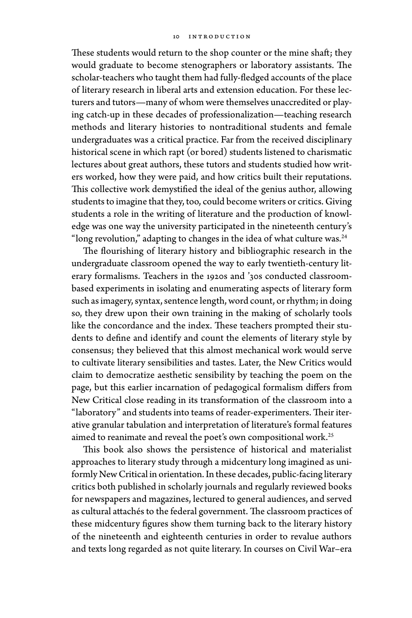#### 10 introduction

These students would return to the shop counter or the mine shaft; they would graduate to become stenographers or laboratory assistants. The scholar- teachers who taught them had fully- fledged accounts of the place of literary research in liberal arts and extension education. For these lecturers and tutors— many of whom were themselves unaccredited or playing catch- up in these decades of professionalization— teaching research methods and literary histories to nontraditional students and female undergraduates was a critical practice. Far from the received disciplinary historical scene in which rapt (or bored) students listened to charismatic lectures about great authors, these tutors and students studied how writers worked, how they were paid, and how critics built their reputations. This collective work demystified the ideal of the genius author, allowing students to imagine that they, too, could become writers or critics. Giving students a role in the writing of literature and the production of knowledge was one way the university participated in the nineteenth century's "long revolution," adapting to changes in the idea of what culture was.<sup>24</sup>

The flourishing of literary history and bibliographic research in the undergraduate classroom opened the way to early twentieth- century literary formalisms. Teachers in the 1920s and '30s conducted classroombased experiments in isolating and enumerating aspects of literary form such as imagery, syntax, sentence length, word count, or rhythm; in doing so, they drew upon their own training in the making of scholarly tools like the concordance and the index. These teachers prompted their students to define and identify and count the elements of literary style by consensus; they believed that this almost mechanical work would serve to cultivate literary sensibilities and tastes. Later, the New Critics would claim to democratize aesthetic sensibility by teaching the poem on the page, but this earlier incarnation of pedagogical formalism differs from New Critical close reading in its transformation of the classroom into a "laboratory" and students into teams of reader-experimenters. Their iterative granular tabulation and interpretation of literature's formal features aimed to reanimate and reveal the poet's own compositional work.<sup>25</sup>

This book also shows the persistence of historical and materialist approaches to literary study through a midcentury long imagined as uniformly New Critical in orientation. In these decades, public-facing literary critics both published in scholarly journals and regularly reviewed books for newspapers and magazines, lectured to general audiences, and served as cultural attachés to the federal government. The classroom practices of these midcentury figures show them turning back to the literary history of the nineteenth and eighteenth centuries in order to revalue authors and texts long regarded as not quite literary. In courses on Civil War-era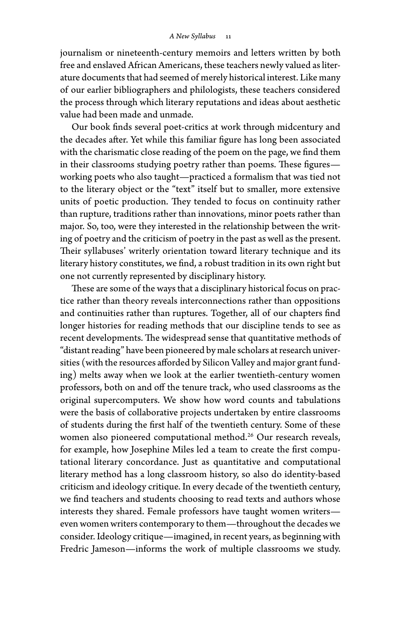#### *A New Syllabus* 11

journalism or nineteenth- century memoirs and letters written by both free and enslaved African Americans, these teachers newly valued as literature documents that had seemed of merely historical interest. Like many of our earlier bibliographers and philologists, these teachers considered the process through which literary reputations and ideas about aesthetic value had been made and unmade.

Our book finds several poet- critics at work through midcentury and the decades after. Yet while this familiar figure has long been associated with the charismatic close reading of the poem on the page, we find them in their classrooms studying poetry rather than poems. These figures working poets who also taught— practiced a formalism that was tied not to the literary object or the "text" itself but to smaller, more extensive units of poetic production. They tended to focus on continuity rather than rupture, traditions rather than innovations, minor poets rather than major. So, too, were they interested in the relationship between the writing of poetry and the criticism of poetry in the past as well as the present. Their syllabuses' writerly orientation toward literary technique and its literary history constitutes, we find, a robust tradition in its own right but one not currently represented by disciplinary history.

These are some of the ways that a disciplinary historical focus on practice rather than theory reveals interconnections rather than oppositions and continuities rather than ruptures. Together, all of our chapters find longer histories for reading methods that our discipline tends to see as recent developments. The widespread sense that quantitative methods of "distant reading" have been pioneered by male scholars at research universities (with the resources afforded by Silicon Valley and major grant funding) melts away when we look at the earlier twentieth- century women professors, both on and off the tenure track, who used classrooms as the original supercomputers. We show how word counts and tabulations were the basis of collaborative projects undertaken by entire classrooms of students during the first half of the twentieth century. Some of these women also pioneered computational method.<sup>26</sup> Our research reveals, for example, how Josephine Miles led a team to create the first computational literary concordance. Just as quantitative and computational literary method has a long classroom history, so also do identity-based criticism and ideology critique. In every decade of the twentieth century, we find teachers and students choosing to read texts and authors whose interests they shared. Female professors have taught women writers even women writers contemporary to them— throughout the decades we consider. Ideology critique— imagined, in recent years, as beginning with Fredric Jameson— informs the work of multiple classrooms we study.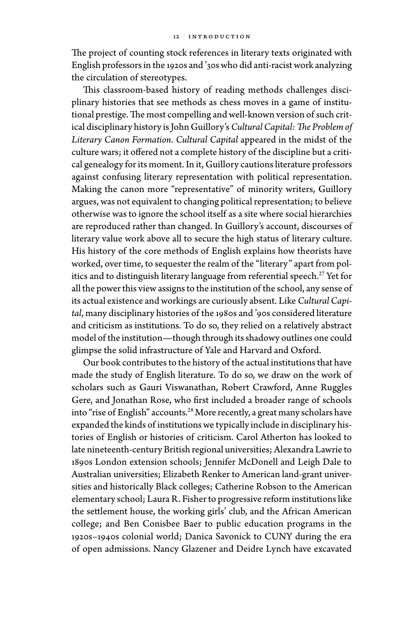The project of counting stock references in literary texts originated with English professors in the 1920s and '30s who did anti- racist work analyzing the circulation of stereotypes.

This classroom-based history of reading methods challenges disciplinary histories that see methods as chess moves in a game of institutional prestige. The most compelling and well-known version of such critical disciplinary history is John Guillory's *Cultural Capital: The Problem of Literary Canon Formation*. *Cultural Capital* appeared in the midst of the culture wars; it offered not a complete history of the discipline but a critical genealogy for its moment. In it, Guillory cautions literature professors against confusing literary representation with political representation. Making the canon more "representative" of minority writers, Guillory argues, was not equivalent to changing political representation; to believe otherwise was to ignore the school itself as a site where social hierarchies are reproduced rather than changed. In Guillory's account, discourses of literary value work above all to secure the high status of literary culture. His history of the core methods of English explains how theorists have worked, over time, to sequester the realm of the "literary" apart from politics and to distinguish literary language from referential speech.<sup>27</sup> Yet for all the power this view assigns to the institution of the school, any sense of its actual existence and workings are curiously absent. Like *Cultural Capital*, many disciplinary histories of the 1980s and '90s considered literature and criticism as institutions. To do so, they relied on a relatively abstract model of the institution— though through its shadowy outlines one could glimpse the solid infrastructure of Yale and Harvard and Oxford.

Our book contributes to the history of the actual institutions that have made the study of English literature. To do so, we draw on the work of scholars such as Gauri Viswanathan, Robert Crawford, Anne Ruggles Gere, and Jonathan Rose, who first included a broader range of schools into "rise of English" accounts.28 More recently, a great many scholars have expanded the kinds of institutions we typically include in disciplinary histories of English or histories of criticism. Carol Atherton has looked to late nineteenth- century British regional universities; Alexandra Lawrie to 1890s London extension schools; Jennifer McDonell and Leigh Dale to Australian universities; Elizabeth Renker to American land-grant universities and historically Black colleges; Catherine Robson to the American elementary school; Laura R. Fisher to progressive reform institutions like the settlement house, the working girls' club, and the African American college; and Ben Conisbee Baer to public education programs in the 1920s– 1940s colonial world; Danica Savonick to CUNY during the era of open admissions. Nancy Glazener and Deidre Lynch have excavated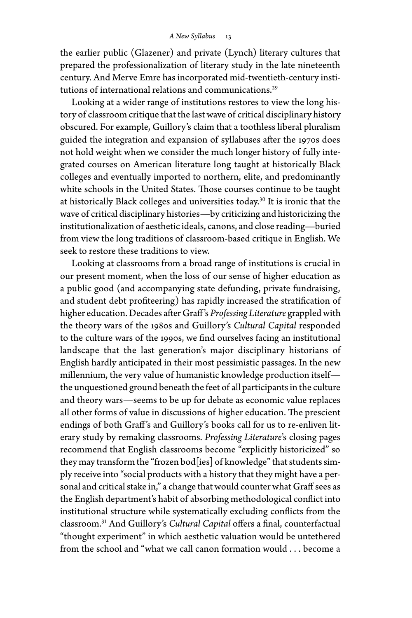#### *A New Syllabus* 13

the earlier public (Glazener) and private (Lynch) literary cultures that prepared the professionalization of literary study in the late nineteenth century. And Merve Emre has incorporated mid- twentieth- century institutions of international relations and communications.<sup>29</sup>

Looking at a wider range of institutions restores to view the long history of classroom critique that the last wave of critical disciplinary history obscured. For example, Guillory's claim that a toothless liberal pluralism guided the integration and expansion of syllabuses after the 1970s does not hold weight when we consider the much longer history of fully integrated courses on American literature long taught at historically Black colleges and eventually imported to northern, elite, and predominantly white schools in the United States. Those courses continue to be taught at historically Black colleges and universities today.30 It is ironic that the wave of critical disciplinary histories— by criticizing and historicizing the institutionalization of aesthetic ideals, canons, and close reading— buried from view the long traditions of classroom- based critique in English. We seek to restore these traditions to view.

Looking at classrooms from a broad range of institutions is crucial in our present moment, when the loss of our sense of higher education as a public good (and accompanying state defunding, private fundraising, and student debt profiteering) has rapidly increased the stratification of higher education. Decades after Graff 's *Professing Literature* grappled with the theory wars of the 1980s and Guillory's *Cultural Capital* responded to the culture wars of the 1990s, we find ourselves facing an institutional landscape that the last generation's major disciplinary historians of English hardly anticipated in their most pessimistic passages. In the new millennium, the very value of humanistic knowledge production itself the unquestioned ground beneath the feet of all participants in the culture and theory wars— seems to be up for debate as economic value replaces all other forms of value in discussions of higher education. The prescient endings of both Graff's and Guillory's books call for us to re-enliven literary study by remaking classrooms. *Professing Literature*'s closing pages recommend that English classrooms become "explicitly historicized" so they may transform the "frozen bod[ies] of knowledge" that students simply receive into "social products with a history that they might have a personal and critical stake in," a change that would counter what Graff sees as the English department's habit of absorbing methodological conflict into institutional structure while systematically excluding conflicts from the classroom.31 And Guillory's *Cultural Capital* offers a final, counterfactual "thought experiment" in which aesthetic valuation would be untethered from the school and "what we call canon formation would . . . become a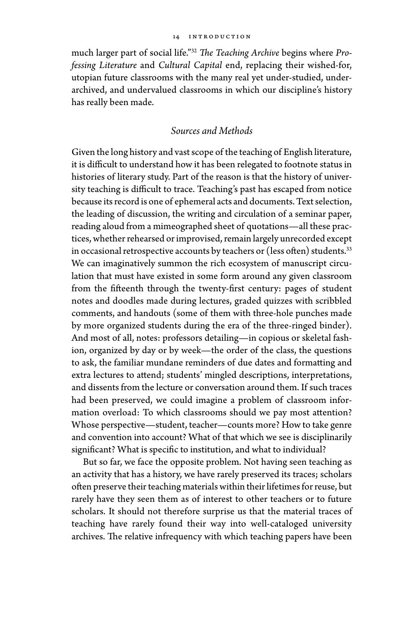#### 14 introduction

much larger part of social life."32 *The Teaching Archive* begins where *Professing Literature* and *Cultural Capital* end, replacing their wished-for, utopian future classrooms with the many real yet under- studied, underarchived, and undervalued classrooms in which our discipline's history has really been made.

## *Sources and Methods*

Given the long history and vast scope of the teaching of English literature, it is difficult to understand how it has been relegated to footnote status in histories of literary study. Part of the reason is that the history of university teaching is difficult to trace. Teaching's past has escaped from notice because its record is one of ephemeral acts and documents. Text selection, the leading of discussion, the writing and circulation of a seminar paper, reading aloud from a mimeographed sheet of quotations— all these practices, whether rehearsed or improvised, remain largely unrecorded except in occasional retrospective accounts by teachers or (less often) students.<sup>33</sup> We can imaginatively summon the rich ecosystem of manuscript circulation that must have existed in some form around any given classroom from the fifteenth through the twenty-first century: pages of student notes and doodles made during lectures, graded quizzes with scribbled comments, and handouts (some of them with three- hole punches made by more organized students during the era of the three-ringed binder). And most of all, notes: professors detailing— in copious or skeletal fashion, organized by day or by week— the order of the class, the questions to ask, the familiar mundane reminders of due dates and formatting and extra lectures to attend; students' mingled descriptions, interpretations, and dissents from the lecture or conversation around them. If such traces had been preserved, we could imagine a problem of classroom information overload: To which classrooms should we pay most attention? Whose perspective— student, teacher— counts more? How to take genre and convention into account? What of that which we see is disciplinarily significant? What is specific to institution, and what to individual?

But so far, we face the opposite problem. Not having seen teaching as an activity that has a history, we have rarely preserved its traces; scholars often preserve their teaching materials within their lifetimes for reuse, but rarely have they seen them as of interest to other teachers or to future scholars. It should not therefore surprise us that the material traces of teaching have rarely found their way into well-cataloged university archives. The relative infrequency with which teaching papers have been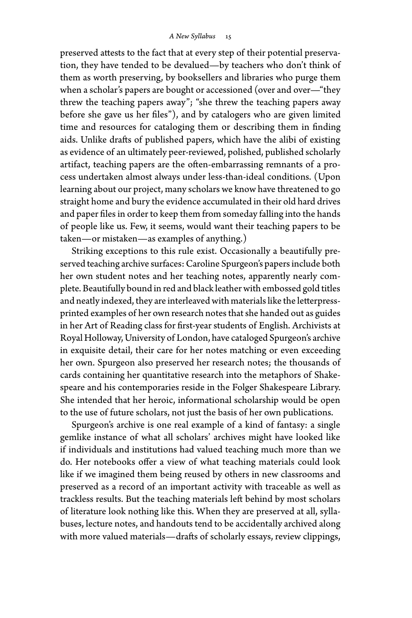preserved attests to the fact that at every step of their potential preservation, they have tended to be devalued— by teachers who don't think of them as worth preserving, by booksellers and libraries who purge them when a scholar's papers are bought or accessioned (over and over-"they threw the teaching papers away"; "she threw the teaching papers away before she gave us her files"), and by catalogers who are given limited time and resources for cataloging them or describing them in finding aids. Unlike drafts of published papers, which have the alibi of existing as evidence of an ultimately peer- reviewed, polished, published scholarly artifact, teaching papers are the often- embarrassing remnants of a process undertaken almost always under less- than- ideal conditions. (Upon learning about our project, many scholars we know have threatened to go straight home and bury the evidence accumulated in their old hard drives and paper files in order to keep them from someday falling into the hands of people like us. Few, it seems, would want their teaching papers to be taken— or mistaken— as examples of anything.)

Striking exceptions to this rule exist. Occasionally a beautifully preserved teaching archive surfaces: Caroline Spurgeon's papers include both her own student notes and her teaching notes, apparently nearly complete. Beautifully bound in red and black leather with embossed gold titles and neatly indexed, they are interleaved with materials like the letterpressprinted examples of her own research notes that she handed out as guides in her Art of Reading class for first- year students of English. Archivists at Royal Holloway, University of London, have cataloged Spurgeon's archive in exquisite detail, their care for her notes matching or even exceeding her own. Spurgeon also preserved her research notes; the thousands of cards containing her quantitative research into the metaphors of Shakespeare and his contemporaries reside in the Folger Shakespeare Library. She intended that her heroic, informational scholarship would be open to the use of future scholars, not just the basis of her own publications.

Spurgeon's archive is one real example of a kind of fantasy: a single gemlike instance of what all scholars' archives might have looked like if individuals and institutions had valued teaching much more than we do. Her notebooks offer a view of what teaching materials could look like if we imagined them being reused by others in new classrooms and preserved as a record of an important activity with traceable as well as trackless results. But the teaching materials left behind by most scholars of literature look nothing like this. When they are preserved at all, syllabuses, lecture notes, and handouts tend to be accidentally archived along with more valued materials— drafts of scholarly essays, review clippings,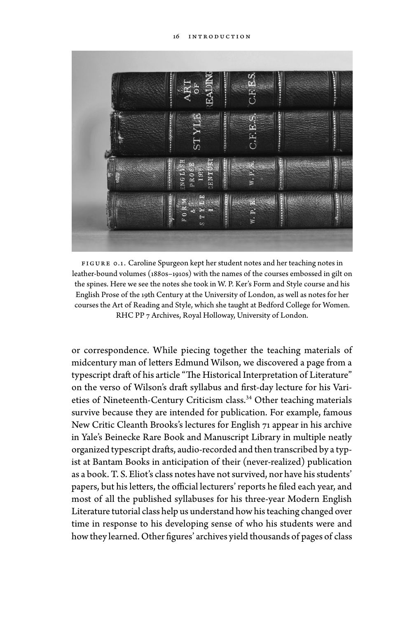

FIGURE 0.1. Caroline Spurgeon kept her student notes and her teaching notes in leather-bound volumes (1880s-1910s) with the names of the courses embossed in gilt on the spines. Here we see the notes she took in W. P. Ker's Form and Style course and his English Prose of the 19th Century at the University of London, as well as notes for her courses the Art of Reading and Style, which she taught at Bedford College for Women. RHC PP 7 Archives, Royal Holloway, University of London.

or correspondence. While piecing together the teaching materials of midcentury man of letters Edmund Wilson, we discovered a page from a typescript draft of his article "The Historical Interpretation of Literature" on the verso of Wilson's draft syllabus and first- day lecture for his Varieties of Nineteenth-Century Criticism class.<sup>34</sup> Other teaching materials survive because they are intended for publication. For example, famous New Critic Cleanth Brooks's lectures for English 71 appear in his archive in Yale's Beinecke Rare Book and Manuscript Library in multiple neatly organized typescript drafts, audio- recorded and then transcribed by a typist at Bantam Books in anticipation of their (never- realized) publication as a book. T. S. Eliot's class notes have not survived, nor have his students' papers, but his letters, the official lecturers' reports he filed each year, and most of all the published syllabuses for his three- year Modern English Literature tutorial class help us understand how his teaching changed over time in response to his developing sense of who his students were and how they learned. Other figures' archives yield thousands of pages of class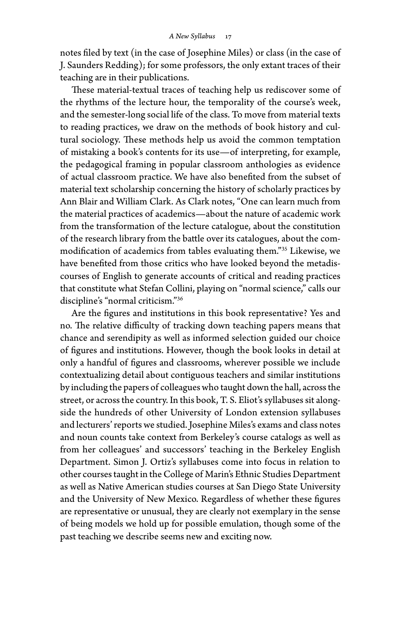notes filed by text (in the case of Josephine Miles) or class (in the case of J. Saunders Redding); for some professors, the only extant traces of their teaching are in their publications.

These material-textual traces of teaching help us rediscover some of the rhythms of the lecture hour, the temporality of the course's week, and the semester- long social life of the class. To move from material texts to reading practices, we draw on the methods of book history and cultural sociology. These methods help us avoid the common temptation of mistaking a book's contents for its use— of interpreting, for example, the pedagogical framing in popular classroom anthologies as evidence of actual classroom practice. We have also benefited from the subset of material text scholarship concerning the history of scholarly practices by Ann Blair and William Clark. As Clark notes, "One can learn much from the material practices of academics— about the nature of academic work from the transformation of the lecture catalogue, about the constitution of the research library from the battle over its catalogues, about the commodification of academics from tables evaluating them."35 Likewise, we have benefited from those critics who have looked beyond the metadiscourses of English to generate accounts of critical and reading practices that constitute what Stefan Collini, playing on "normal science," calls our discipline's "normal criticism."36

Are the figures and institutions in this book representative? Yes and no. The relative difficulty of tracking down teaching papers means that chance and serendipity as well as informed selection guided our choice of figures and institutions. However, though the book looks in detail at only a handful of figures and classrooms, wherever possible we include contextualizing detail about contiguous teachers and similar institutions by including the papers of colleagues who taught down the hall, across the street, or across the country. In this book, T. S. Eliot's syllabuses sit alongside the hundreds of other University of London extension syllabuses and lecturers' reports we studied. Josephine Miles's exams and class notes and noun counts take context from Berkeley's course catalogs as well as from her colleagues' and successors' teaching in the Berkeley English Department. Simon J. Ortiz's syllabuses come into focus in relation to other courses taught in the College of Marin's Ethnic Studies Department as well as Native American studies courses at San Diego State University and the University of New Mexico. Regardless of whether these figures are representative or unusual, they are clearly not exemplary in the sense of being models we hold up for possible emulation, though some of the past teaching we describe seems new and exciting now.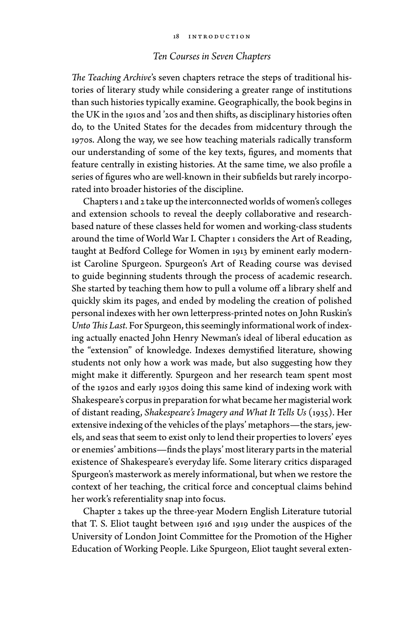## *Ten Courses in Seven Chapters*

*The Teaching Archive*'s seven chapters retrace the steps of traditional histories of literary study while considering a greater range of institutions than such histories typically examine. Geographically, the book begins in the UK in the 1910s and '20s and then shifts, as disciplinary histories often do, to the United States for the decades from midcentury through the 1970s. Along the way, we see how teaching materials radically transform our understanding of some of the key texts, figures, and moments that feature centrally in existing histories. At the same time, we also profile a series of figures who are well-known in their subfields but rarely incorporated into broader histories of the discipline.

Chapters 1 and 2 take up the interconnected worlds of women's colleges and extension schools to reveal the deeply collaborative and researchbased nature of these classes held for women and working- class students around the time of World War I. Chapter 1 considers the Art of Reading, taught at Bedford College for Women in 1913 by eminent early modernist Caroline Spurgeon. Spurgeon's Art of Reading course was devised to guide beginning students through the process of academic research. She started by teaching them how to pull a volume off a library shelf and quickly skim its pages, and ended by modeling the creation of polished personal indexes with her own letterpress- printed notes on John Ruskin's *Unto This Last.* For Spurgeon, this seemingly informational work of indexing actually enacted John Henry Newman's ideal of liberal education as the "extension" of knowledge. Indexes demystified literature, showing students not only how a work was made, but also suggesting how they might make it differently. Spurgeon and her research team spent most of the 1920s and early 1930s doing this same kind of indexing work with Shakespeare's corpus in preparation for what became her magisterial work of distant reading, *Shakespeare's Imagery and What It Tells Us* (1935). Her extensive indexing of the vehicles of the plays' metaphors— the stars, jewels, and seas that seem to exist only to lend their properties to lovers' eyes or enemies' ambitions— finds the plays' most literary parts in the material existence of Shakespeare's everyday life. Some literary critics disparaged Spurgeon's masterwork as merely informational, but when we restore the context of her teaching, the critical force and conceptual claims behind her work's referentiality snap into focus.

Chapter 2 takes up the three- year Modern English Literature tutorial that T. S. Eliot taught between 1916 and 1919 under the auspices of the University of London Joint Committee for the Promotion of the Higher Education of Working People. Like Spurgeon, Eliot taught several exten-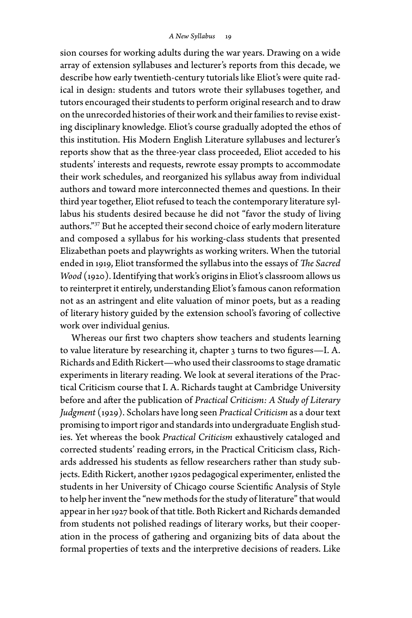sion courses for working adults during the war years. Drawing on a wide array of extension syllabuses and lecturer's reports from this decade, we describe how early twentieth- century tutorials like Eliot's were quite radical in design: students and tutors wrote their syllabuses together, and tutors encouraged their students to perform original research and to draw on the unrecorded histories of their work and their families to revise existing disciplinary knowledge. Eliot's course gradually adopted the ethos of this institution. His Modern English Literature syllabuses and lecturer's reports show that as the three- year class proceeded, Eliot acceded to his students' interests and requests, rewrote essay prompts to accommodate their work schedules, and reorganized his syllabus away from individual authors and toward more interconnected themes and questions. In their third year together, Eliot refused to teach the contemporary literature syllabus his students desired because he did not "favor the study of living authors."37 But he accepted their second choice of early modern literature and composed a syllabus for his working- class students that presented Elizabethan poets and playwrights as working writers. When the tutorial ended in 1919, Eliot transformed the syllabus into the essays of *The Sacred Wood* (1920). Identifying that work's origins in Eliot's classroom allows us to reinterpret it entirely, understanding Eliot's famous canon reformation not as an astringent and elite valuation of minor poets, but as a reading of literary history guided by the extension school's favoring of collective work over individual genius.

Whereas our first two chapters show teachers and students learning to value literature by researching it, chapter 3 turns to two figures— I. A. Richards and Edith Rickert— who used their classrooms to stage dramatic experiments in literary reading. We look at several iterations of the Practical Criticism course that I. A. Richards taught at Cambridge University before and after the publication of *Practical Criticism: A Study of Literary Judgment* (1929). Scholars have long seen *Practical Criticism* as a dour text promising to import rigor and standards into undergraduate English studies. Yet whereas the book *Practical Criticism* exhaustively cataloged and corrected students' reading errors, in the Practical Criticism class, Richards addressed his students as fellow researchers rather than study subjects. Edith Rickert, another 1920s pedagogical experimenter, enlisted the students in her University of Chicago course Scientific Analysis of Style to help her invent the "new methods for the study of literature" that would appear in her 1927 book of that title. Both Rickert and Richards demanded from students not polished readings of literary works, but their cooperation in the process of gathering and organizing bits of data about the formal properties of texts and the interpretive decisions of readers. Like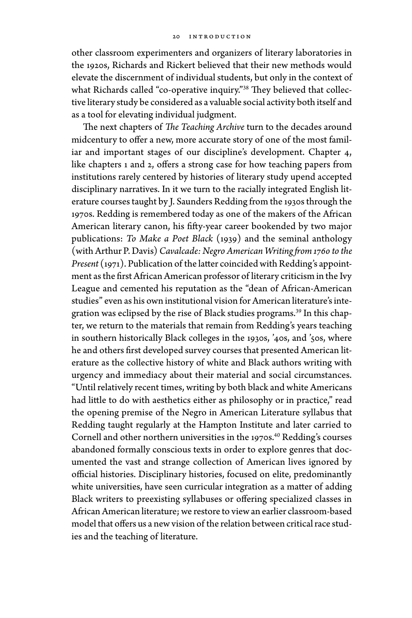other classroom experimenters and organizers of literary laboratories in the 1920s, Richards and Rickert believed that their new methods would elevate the discernment of individual students, but only in the context of what Richards called "co-operative inquiry."<sup>38</sup> They believed that collective literary study be considered as a valuable social activity both itself and as a tool for elevating individual judgment.

The next chapters of *The Teaching Archive* turn to the decades around midcentury to offer a new, more accurate story of one of the most familiar and important stages of our discipline's development. Chapter 4, like chapters 1 and 2, offers a strong case for how teaching papers from institutions rarely centered by histories of literary study upend accepted disciplinary narratives. In it we turn to the racially integrated English literature courses taught by J. Saunders Redding from the 1930s through the 1970s. Redding is remembered today as one of the makers of the African American literary canon, his fifty-year career bookended by two major publications: *To Make a Poet Black* (1939) and the seminal anthology (with Arthur P. Davis) *Cavalcade: Negro American Writing from 1760 to the Present* (1971). Publication of the latter coincided with Redding's appointment as the first African American professor of literary criticism in the Ivy League and cemented his reputation as the "dean of African- American studies" even as his own institutional vision for American literature's integration was eclipsed by the rise of Black studies programs.<sup>39</sup> In this chapter, we return to the materials that remain from Redding's years teaching in southern historically Black colleges in the 1930s, '40s, and '50s, where he and others first developed survey courses that presented American literature as the collective history of white and Black authors writing with urgency and immediacy about their material and social circumstances. "Until relatively recent times, writing by both black and white Americans had little to do with aesthetics either as philosophy or in practice," read the opening premise of the Negro in American Literature syllabus that Redding taught regularly at the Hampton Institute and later carried to Cornell and other northern universities in the 1970s.<sup>40</sup> Redding's courses abandoned formally conscious texts in order to explore genres that documented the vast and strange collection of American lives ignored by official histories. Disciplinary histories, focused on elite, predominantly white universities, have seen curricular integration as a matter of adding Black writers to preexisting syllabuses or offering specialized classes in African American literature; we restore to view an earlier classroom- based model that offers us a new vision of the relation between critical race studies and the teaching of literature.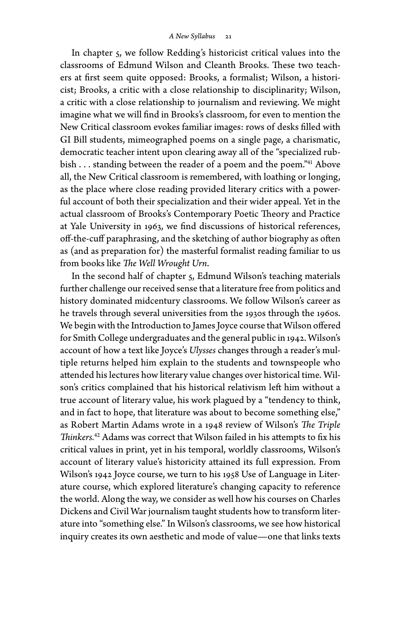In chapter 5, we follow Redding's historicist critical values into the classrooms of Edmund Wilson and Cleanth Brooks. These two teachers at first seem quite opposed: Brooks, a formalist; Wilson, a historicist; Brooks, a critic with a close relationship to disciplinarity; Wilson, a critic with a close relationship to journalism and reviewing. We might imagine what we will find in Brooks's classroom, for even to mention the New Critical classroom evokes familiar images: rows of desks filled with GI Bill students, mimeographed poems on a single page, a charismatic, democratic teacher intent upon clearing away all of the "specialized rubbish . . . standing between the reader of a poem and the poem."<sup>41</sup> Above all, the New Critical classroom is remembered, with loathing or longing, as the place where close reading provided literary critics with a powerful account of both their specialization and their wider appeal. Yet in the actual classroom of Brooks's Contemporary Poetic Theory and Practice at Yale University in 1963, we find discussions of historical references, off- the- cuff paraphrasing, and the sketching of author biography as often as (and as preparation for) the masterful formalist reading familiar to us from books like *The Well Wrought Urn*.

In the second half of chapter 5, Edmund Wilson's teaching materials further challenge our received sense that a literature free from politics and history dominated midcentury classrooms. We follow Wilson's career as he travels through several universities from the 1930s through the 1960s. We begin with the Introduction to James Joyce course that Wilson offered for Smith College undergraduates and the general public in 1942. Wilson's account of how a text like Joyce's *Ulysses* changes through a reader's multiple returns helped him explain to the students and townspeople who attended his lectures how literary value changes over historical time. Wilson's critics complained that his historical relativism left him without a true account of literary value, his work plagued by a "tendency to think, and in fact to hope, that literature was about to become something else," as Robert Martin Adams wrote in a 1948 review of Wilson's *The Triple Thinkers.*42 Adams was correct that Wilson failed in his attempts to fix his critical values in print, yet in his temporal, worldly classrooms, Wilson's account of literary value's historicity attained its full expression. From Wilson's 1942 Joyce course, we turn to his 1958 Use of Language in Literature course, which explored literature's changing capacity to reference the world. Along the way, we consider as well how his courses on Charles Dickens and Civil War journalism taught students how to transform literature into "something else." In Wilson's classrooms, we see how historical inquiry creates its own aesthetic and mode of value— one that links texts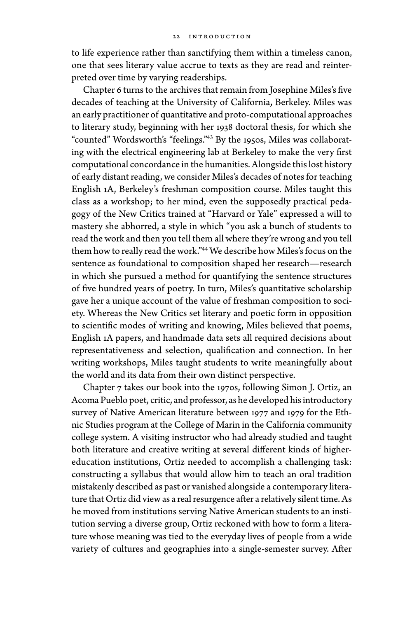to life experience rather than sanctifying them within a timeless canon, one that sees literary value accrue to texts as they are read and reinterpreted over time by varying readerships.

Chapter 6 turns to the archives that remain from Josephine Miles's five decades of teaching at the University of California, Berkeley. Miles was an early practitioner of quantitative and proto- computational approaches to literary study, beginning with her 1938 doctoral thesis, for which she "counted" Wordsworth's "feelings."43 By the 1950s, Miles was collaborating with the electrical engineering lab at Berkeley to make the very first computational concordance in the humanities. Alongside this lost history of early distant reading, we consider Miles's decades of notes for teaching English 1A, Berkeley's freshman composition course. Miles taught this class as a workshop; to her mind, even the supposedly practical pedagogy of the New Critics trained at "Harvard or Yale" expressed a will to mastery she abhorred, a style in which "you ask a bunch of students to read the work and then you tell them all where they're wrong and you tell them how to really read the work."44 We describe how Miles's focus on the sentence as foundational to composition shaped her research— research in which she pursued a method for quantifying the sentence structures of five hundred years of poetry. In turn, Miles's quantitative scholarship gave her a unique account of the value of freshman composition to society. Whereas the New Critics set literary and poetic form in opposition to scientific modes of writing and knowing, Miles believed that poems, English 1A papers, and handmade data sets all required decisions about representativeness and selection, qualification and connection. In her writing workshops, Miles taught students to write meaningfully about the world and its data from their own distinct perspective.

Chapter 7 takes our book into the 1970s, following Simon J. Ortiz, an Acoma Pueblo poet, critic, and professor, as he developed his introductory survey of Native American literature between 1977 and 1979 for the Ethnic Studies program at the College of Marin in the California community college system. A visiting instructor who had already studied and taught both literature and creative writing at several different kinds of highereducation institutions, Ortiz needed to accomplish a challenging task: constructing a syllabus that would allow him to teach an oral tradition mistakenly described as past or vanished alongside a contemporary literature that Ortiz did view as a real resurgence after a relatively silent time. As he moved from institutions serving Native American students to an institution serving a diverse group, Ortiz reckoned with how to form a literature whose meaning was tied to the everyday lives of people from a wide variety of cultures and geographies into a single- semester survey. After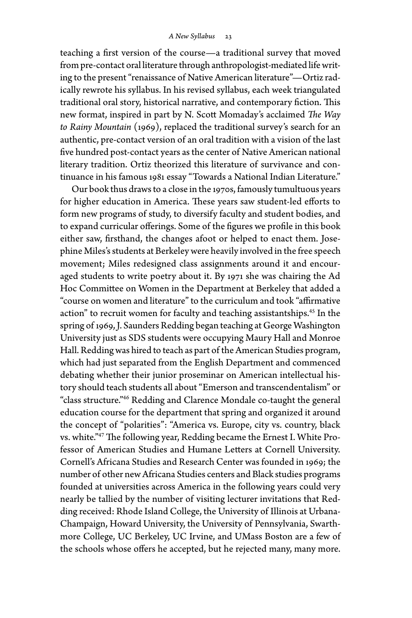teaching a first version of the course— a traditional survey that moved from pre- contact oral literature through anthropologist- mediated life writing to the present "renaissance of Native American literature"— Ortiz radically rewrote his syllabus. In his revised syllabus, each week triangulated traditional oral story, historical narrative, and contemporary fiction. This new format, inspired in part by N. Scott Momaday's acclaimed *The Way to Rainy Mountain* (1969), replaced the traditional survey's search for an authentic, pre- contact version of an oral tradition with a vision of the last five hundred post-contact years as the center of Native American national literary tradition. Ortiz theorized this literature of survivance and continuance in his famous 1981 essay "Towards a National Indian Literature."

Our book thus draws to a close in the 1970s, famously tumultuous years for higher education in America. These years saw student- led efforts to form new programs of study, to diversify faculty and student bodies, and to expand curricular offerings. Some of the figures we profile in this book either saw, firsthand, the changes afoot or helped to enact them. Josephine Miles's students at Berkeley were heavily involved in the free speech movement; Miles redesigned class assignments around it and encouraged students to write poetry about it. By 1971 she was chairing the Ad Hoc Committee on Women in the Department at Berkeley that added a "course on women and literature" to the curriculum and took "affirmative action" to recruit women for faculty and teaching assistantships.<sup>45</sup> In the spring of 1969, J. Saunders Redding began teaching at George Washington University just as SDS students were occupying Maury Hall and Monroe Hall. Redding was hired to teach as part of the American Studies program, which had just separated from the English Department and commenced debating whether their junior proseminar on American intellectual history should teach students all about "Emerson and transcendentalism" or "class structure."46 Redding and Clarence Mondale co- taught the general education course for the department that spring and organized it around the concept of "polarities": "America vs. Europe, city vs. country, black vs. white."47 The following year, Redding became the Ernest I. White Professor of American Studies and Humane Letters at Cornell University. Cornell's Africana Studies and Research Center was founded in 1969; the number of other new Africana Studies centers and Black studies programs founded at universities across America in the following years could very nearly be tallied by the number of visiting lecturer invitations that Redding received: Rhode Island College, the University of Illinois at Urbana-Champaign, Howard University, the University of Pennsylvania, Swarthmore College, UC Berkeley, UC Irvine, and UMass Boston are a few of the schools whose offers he accepted, but he rejected many, many more.